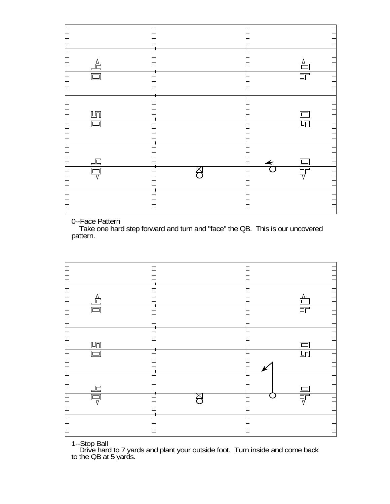| ▟                      |                          |
|------------------------|--------------------------|
|                        |                          |
| $\Box$                 | $\overline{\square}^-$   |
|                        |                          |
|                        |                          |
|                        |                          |
|                        |                          |
|                        | $\overline{\phantom{0}}$ |
| $\mathbb{L}\mathbb{n}$ |                          |
| $\Box$                 | $\overline{\mathbb{H}}$  |
|                        |                          |
|                        |                          |
|                        |                          |
|                        |                          |
|                        |                          |
| $\frac{\Box}{\Box}$    |                          |
| □                      | 与                        |
| $\overline{\nabla}$    | $\overline{\nabla}$      |
|                        |                          |
|                        |                          |
|                        |                          |
|                        |                          |
|                        |                          |
|                        |                          |

0--Face Pattern

 Take one hard step forward and turn and "face" the QB. This is our uncovered pattern.



1--Stop Ball

 Drive hard to 7 yards and plant your outside foot. Turn inside and come back to the QB at 5 yards.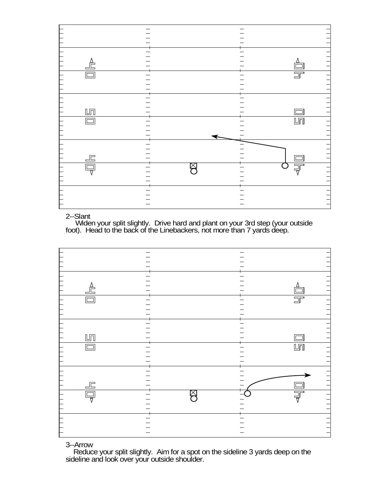

## 2--Slant

 Widen your split slightly. Drive hard and plant on your 3rd step (your outside foot). Head to the back of the Linebackers, not more than 7 yards deep.



## 3--Arrow

 Reduce your split slightly. Aim for a spot on the sideline 3 yards deep on the sideline and look over your outside shoulder.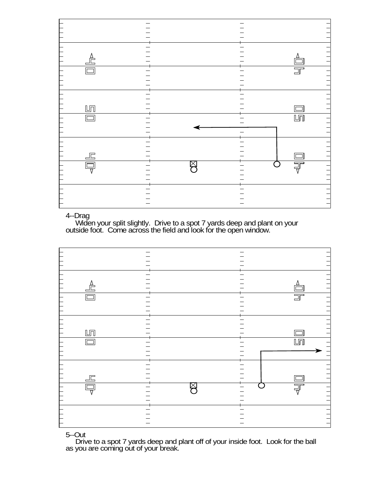| $\overline{\overline{\mathbb{Q}}}$ | $\frac{\Box}{\Box}$ | $\mathbb{H}$<br>$\Box$                                |                                                |                         | $\triangle$                                    |  |
|------------------------------------|---------------------|-------------------------------------------------------|------------------------------------------------|-------------------------|------------------------------------------------|--|
|                                    |                     |                                                       |                                                |                         |                                                |  |
| $\boxtimes$                        |                     |                                                       |                                                |                         |                                                |  |
|                                    |                     |                                                       |                                                |                         |                                                |  |
|                                    |                     |                                                       |                                                |                         |                                                |  |
| $\overline{\exists}$               | $\Box$              | Г<br>$\Box$                                           |                                                | $\overline{\mathbb{F}}$ |                                                |  |
| $\frac{1}{1}$                      |                     | $\begin{array}{c} 1 & 1 & 1 \\ 1 & 1 & 1 \end{array}$ | $\begin{array}{c} \n 1 & 1 & 1 \n \end{array}$ |                         | $\begin{array}{c} \n 1 & 1 & 1 \n \end{array}$ |  |

# 4--Drag

 Widen your split slightly. Drive to a spot 7 yards deep and plant on your outside foot. Come across the field and look for the open window.



## 5--Out

 Drive to a spot 7 yards deep and plant off of your inside foot. Look for the ball as you are coming out of your break.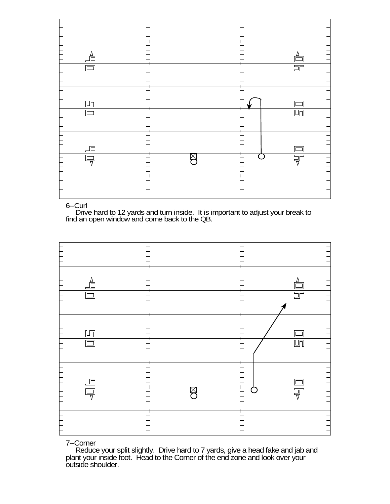| $\triangle$            |   |                        |
|------------------------|---|------------------------|
| $\Box$                 |   | $\overline{\square}^-$ |
|                        |   |                        |
|                        |   |                        |
|                        |   |                        |
| $\mathbb{L}\mathbb{n}$ |   |                        |
| $\Box$                 |   | $\mathbb{L}\mathbb{T}$ |
|                        |   |                        |
|                        |   |                        |
|                        |   |                        |
| 上                      |   |                        |
| Ę                      | ⋉ | $\overline{\exists}$   |
|                        |   |                        |
|                        |   |                        |
|                        |   |                        |
|                        |   |                        |

### 6--Curl

 Drive hard to 12 yards and turn inside. It is important to adjust your break to find an open window and come back to the QB.



## 7--Corner

 Reduce your split slightly. Drive hard to 7 yards, give a head fake and jab and plant your inside foot. Head to the Corner of the end zone and look over your outside shoulder.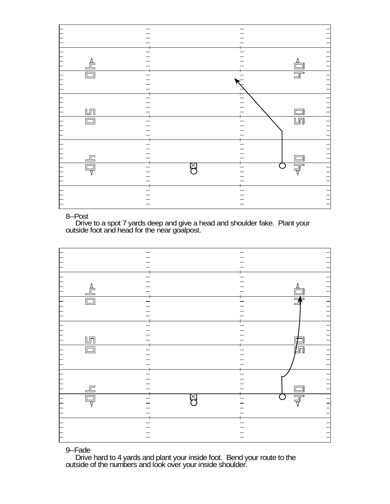

#### 8--Post

 Drive to a spot 7 yards deep and give a head and shoulder fake. Plant your outside foot and head for the near goalpost.



# 9--Fade

 Drive hard to 4 yards and plant your inside foot. Bend your route to the outside of the numbers and look over your inside shoulder.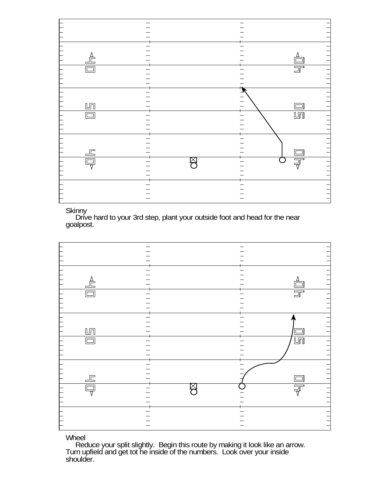| $\triangleq$                            |             |                         |
|-----------------------------------------|-------------|-------------------------|
| $\Box$                                  |             | $\overline{\mathbb{F}}$ |
|                                         |             |                         |
|                                         |             |                         |
| $\mathbb{L}\mathbb{T}$                  |             |                         |
| $\Box$                                  |             | $\overline{\mathbb{H}}$ |
|                                         |             |                         |
|                                         |             |                         |
| $\Box \Box$                             | $\boxtimes$ |                         |
| 靣<br>$\overline{\overline{\mathsf{v}}}$ |             | $\overline{\exists}$    |
|                                         |             |                         |
|                                         |             |                         |
|                                         |             |                         |

**Skinny** 

Drive hard to your 3rd step, plant your outside foot and head for the near goalpost.



Wheel

 Reduce your split slightly. Begin this route by making it look like an arrow. Turn upfield and get tot he inside of the numbers. Look over your inside shoulder.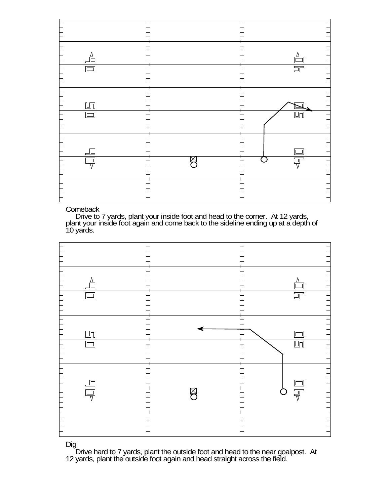|               | Ę                                    | 上                                                     | $\Box$       | $\bigsqcup\overline{\square}$ |                        | $\triangleq$                                   |  |
|---------------|--------------------------------------|-------------------------------------------------------|--------------|-------------------------------|------------------------|------------------------------------------------|--|
|               |                                      |                                                       |              |                               |                        |                                                |  |
|               |                                      |                                                       |              |                               |                        |                                                |  |
|               | Χ                                    |                                                       |              |                               |                        |                                                |  |
|               |                                      |                                                       |              |                               |                        |                                                |  |
|               |                                      |                                                       |              |                               |                        |                                                |  |
|               | $\overline{\overline{\overline{F}}}$ | $\Box$                                                | $\mathbb{H}$ |                               | $\overline{\square}^-$ |                                                |  |
| $\frac{1}{1}$ | $\frac{1}{1}$                        | $\begin{array}{c} 1 & 1 & 1 \\ 1 & 1 & 1 \end{array}$ | E            | $\exists$                     | $\overline{111}$       | $\begin{array}{c} \n 1 & 1 & 1 \n \end{array}$ |  |

# **Comeback**

 Drive to 7 yards, plant your inside foot and head to the corner. At 12 yards, plant your inside foot again and come back to the sideline ending up at a depth of 10 yards.



Dig

 Drive hard to 7 yards, plant the outside foot and head to the near goalpost. At 12 yards, plant the outside foot again and head straight across the field.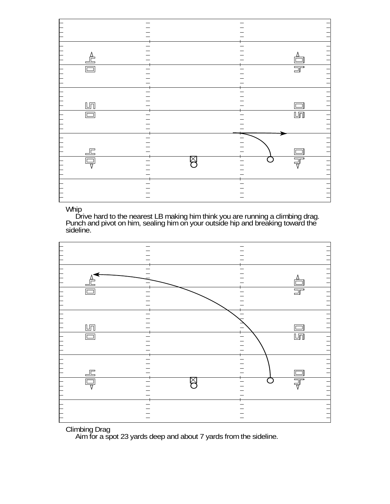| $\triangle$                           |   |                         |
|---------------------------------------|---|-------------------------|
|                                       |   | $\overline{\square}^-$  |
|                                       |   |                         |
|                                       |   |                         |
| $\mathbb{L}\mathbb{T}$                |   |                         |
| $\Box$                                |   | $\overline{\mathbb{L}}$ |
|                                       |   |                         |
|                                       |   |                         |
| $\mathbb{E}$                          |   |                         |
| 靣<br>$\overline{\overline{\text{v}}}$ | ⋉ | 哥                       |
|                                       |   |                         |
|                                       |   |                         |
|                                       |   |                         |

# Whip

 Drive hard to the nearest LB making him think you are running a climbing drag. Punch and pivot on him, sealing him on your outside hip and breaking toward the sideline.



# Climbing Drag

Aim for a spot 23 yards deep and about 7 yards from the sideline.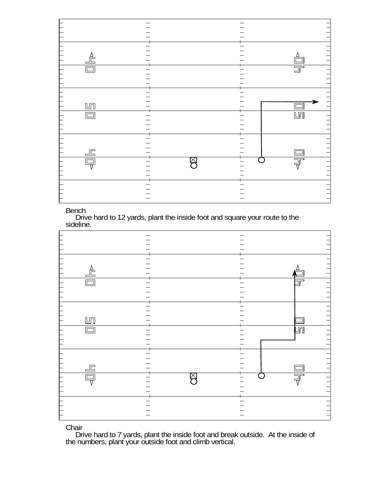|                    | $\overline{\overline{\nabla}}$                        | $\Box \Box$ | $\Box$                                                         | $\mathbb{L}\mathbb{T}$ |                        | $\triangleq$  |  |
|--------------------|-------------------------------------------------------|-------------|----------------------------------------------------------------|------------------------|------------------------|---------------|--|
|                    |                                                       |             |                                                                |                        |                        |               |  |
|                    |                                                       |             |                                                                |                        |                        |               |  |
|                    | $\boxtimes$                                           |             |                                                                |                        |                        |               |  |
|                    |                                                       |             |                                                                |                        |                        |               |  |
|                    |                                                       |             |                                                                |                        |                        |               |  |
|                    | $\overline{\exists \overline{\top}}$                  | $\Box$      | $\overline{\mathbb{L}\mathbb{L}}$                              |                        | $\overline{\square}^-$ |               |  |
| $\frac{1}{1}$<br>ᄀ | $\begin{array}{c} 1 & 1 & 1 \\ 1 & 1 & 1 \end{array}$ | Ξ<br>$\Box$ | $\begin{array}{c} \n 1 & 1 & 1 \\ \n 1 & 1 & 1 \n \end{array}$ | $\equiv$               | $\Box$                 | $\frac{1}{1}$ |  |

**Bench** 

 Drive hard to 12 yards, plant the inside foot and square your route to the sideline.

| $\triangle$             |         |
|-------------------------|---------|
| ١È                      |         |
|                         |         |
|                         |         |
|                         |         |
|                         |         |
| $L_{\overline{1}}$      |         |
|                         | л       |
|                         |         |
|                         |         |
|                         |         |
|                         |         |
| 上                       |         |
|                         | 丂<br>T. |
| $\overline{\mathbf{u}}$ |         |
|                         |         |
|                         |         |
|                         |         |
|                         |         |

**Chair** 

 Drive hard to 7 yards, plant the inside foot and break outside. At the inside of the numbers, plant your outside foot and climb vertical.